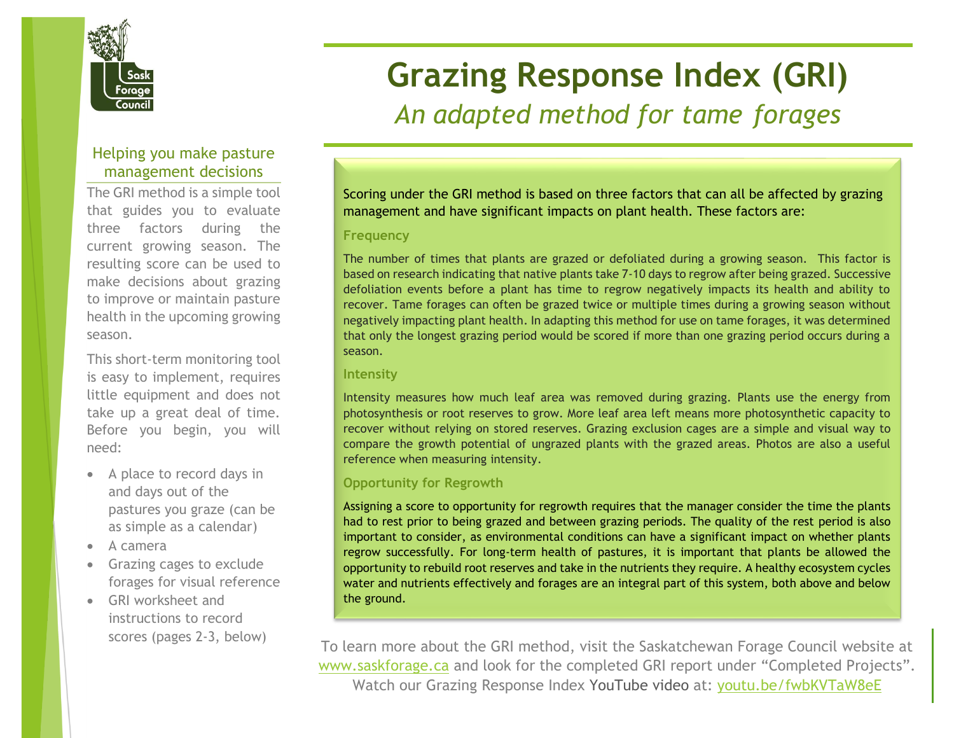

# Helping you make pasture management decisions

The GRI method is a simple tool that guides you to evaluate three factors during the current growing season. The resulting score can be used to make decisions about grazing to improve or maintain pasture health in the upcoming growing season.

This short-term monitoring tool is easy to implement, requires little equipment and does not take up a great deal of time. Before you begin, you will need:

- A place to record days in and days out of the pastures you graze (can be as simple as a calendar)
- A camera
- Grazing cages to exclude forages for visual reference
- GRI worksheet and instructions to record scores (pages 2-3, below)

# **Grazing Response Index (GRI)** *An adapted method for tame forages*

Scoring under the GRI method is based on three factors that can all be affected by grazing management and have significant impacts on plant health. These factors are:

#### **Frequency**

The number of times that plants are grazed or defoliated during a growing season. This factor is based on research indicating that native plants take 7-10 days to regrow after being grazed. Successive defoliation events before a plant has time to regrow negatively impacts its health and ability to recover. Tame forages can often be grazed twice or multiple times during a growing season without negatively impacting plant health. In adapting this method for use on tame forages, it was determined that only the longest grazing period would be scored if more than one grazing period occurs during a season.

### **Intensity**

Intensity measures how much leaf area was removed during grazing. Plants use the energy from photosynthesis or root reserves to grow. More leaf area left means more photosynthetic capacity to recover without relying on stored reserves. Grazing exclusion cages are a simple and visual way to compare the growth potential of ungrazed plants with the grazed areas. Photos are also a useful reference when measuring intensity.

## **Opportunity for Regrowth**

Assigning a score to opportunity for regrowth requires that the manager consider the time the plants had to rest prior to being grazed and between grazing periods. The quality of the rest period is also important to consider, as environmental conditions can have a significant impact on whether plants regrow successfully. For long-term health of pastures, it is important that plants be allowed the opportunity to rebuild root reserves and take in the nutrients they require. A healthy ecosystem cycles water and nutrients effectively and forages are an integral part of this system, both above and below the ground.

To learn more about the GRI method, visit the Saskatchewan Forage Council website at [www.saskforage.ca](http://www.saskforage.ca/) and look for the completed GRI report under "Completed Projects". Watch our Grazing Response Index YouTube video at: [youtu.be/fwbKVTaW8eE](https://youtu.be/fwbKVTaW8eE)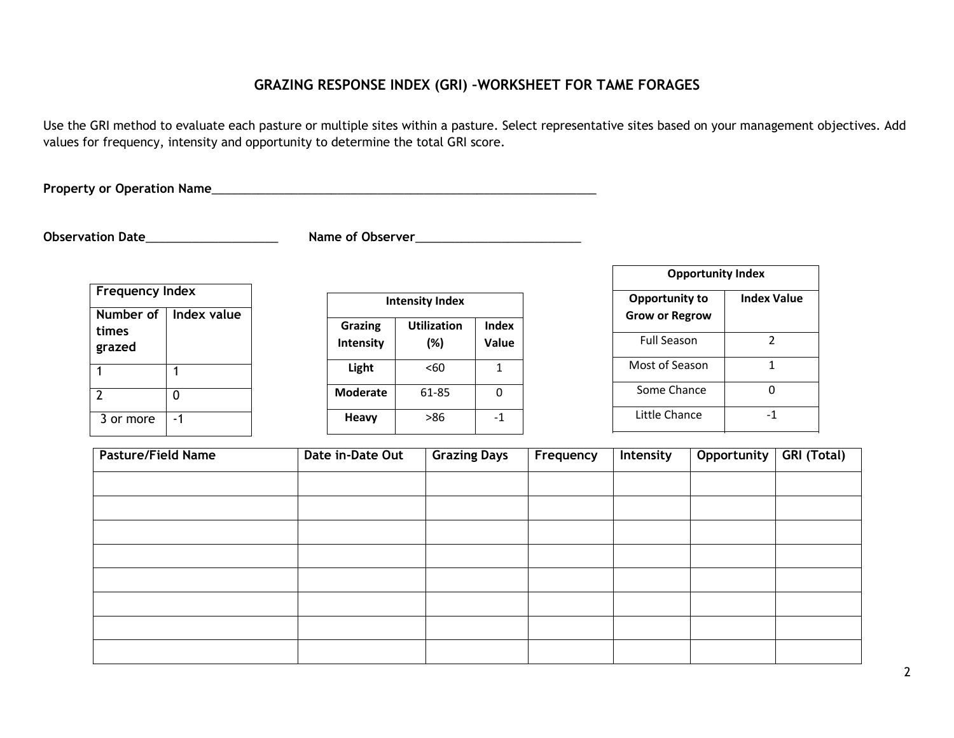# **GRAZING RESPONSE INDEX (GRI) –WORKSHEET FOR TAME FORAGES**

Use the GRI method to evaluate each pasture or multiple sites within a pasture. Select representative sites based on your management objectives. Add values for frequency, intensity and opportunity to determine the total GRI score.

**Property or Operation Name**\_\_\_\_\_\_\_\_\_\_\_\_\_\_\_\_\_\_\_\_\_\_\_\_\_\_\_\_\_\_\_\_\_\_\_\_\_\_\_\_\_\_\_\_\_\_\_\_\_\_\_\_\_\_\_\_\_\_

**Observation Date**\_\_\_\_\_\_\_\_\_\_\_\_\_\_\_\_\_\_\_\_ **Name of Observer**\_\_\_\_\_\_\_\_\_\_\_\_\_\_\_\_\_\_\_\_\_\_\_\_\_

| <b>Frequency Index</b>       |             |  |  |  |
|------------------------------|-------------|--|--|--|
| Number of<br>times<br>grazed | Index value |  |  |  |
|                              |             |  |  |  |
| 2                            | 0           |  |  |  |
| 3 or more                    | - 1         |  |  |  |

| <b>Intensity Index</b>      |                              |                |  |  |  |
|-----------------------------|------------------------------|----------------|--|--|--|
| <b>Grazing</b><br>Intensity | <b>Utilization</b><br>$(\%)$ | Index<br>Value |  |  |  |
| Light                       | <60                          |                |  |  |  |
| <b>Moderate</b>             | 61-85                        |                |  |  |  |
| <b>Heavy</b>                | >86                          | -1             |  |  |  |

| <b>Opportunity Index</b>                       |                    |  |  |  |  |
|------------------------------------------------|--------------------|--|--|--|--|
| <b>Opportunity to</b><br><b>Grow or Regrow</b> | <b>Index Value</b> |  |  |  |  |
| Full Season                                    | $\mathcal{P}$      |  |  |  |  |
| Most of Season                                 | 1                  |  |  |  |  |
| Some Chance                                    | n                  |  |  |  |  |
| Little Chance                                  | -1                 |  |  |  |  |

| <b>Pasture/Field Name</b> | Date in-Date Out | <b>Grazing Days</b> | Frequency | Intensity | Opportunity | <b>GRI (Total)</b> |
|---------------------------|------------------|---------------------|-----------|-----------|-------------|--------------------|
|                           |                  |                     |           |           |             |                    |
|                           |                  |                     |           |           |             |                    |
|                           |                  |                     |           |           |             |                    |
|                           |                  |                     |           |           |             |                    |
|                           |                  |                     |           |           |             |                    |
|                           |                  |                     |           |           |             |                    |
|                           |                  |                     |           |           |             |                    |
|                           |                  |                     |           |           |             |                    |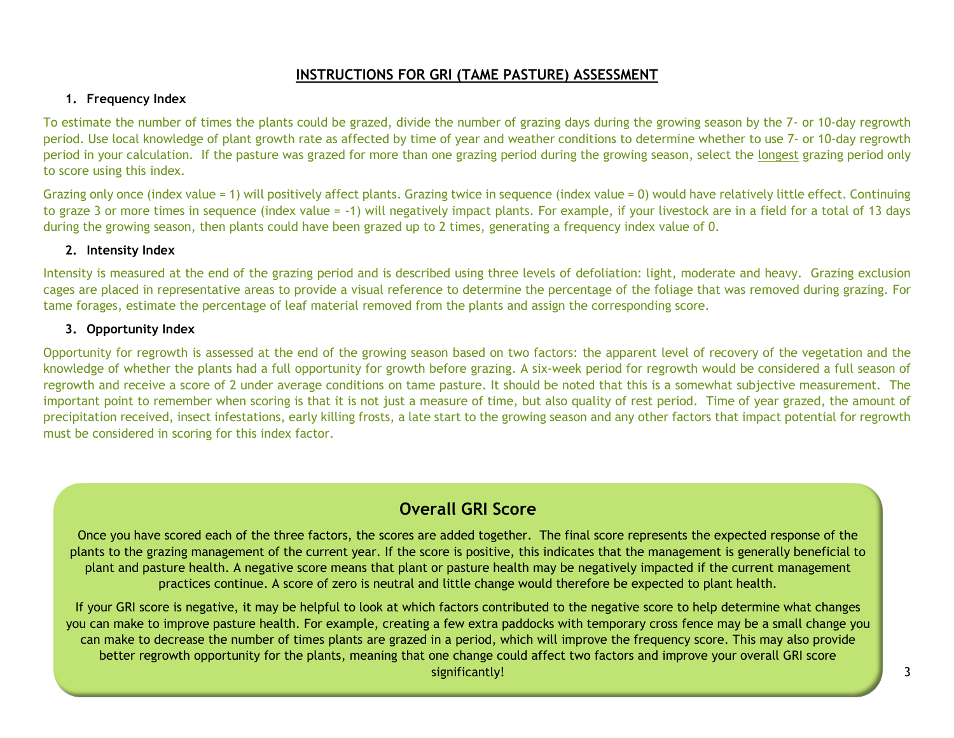# **INSTRUCTIONS FOR GRI (TAME PASTURE) ASSESSMENT**

#### **1. Frequency Index**

To estimate the number of times the plants could be grazed, divide the number of grazing days during the growing season by the 7- or 10-day regrowth period. Use local knowledge of plant growth rate as affected by time of year and weather conditions to determine whether to use 7- or 10-day regrowth period in your calculation. If the pasture was grazed for more than one grazing period during the growing season, select the longest grazing period only to score using this index.

Grazing only once (index value = 1) will positively affect plants. Grazing twice in sequence (index value = 0) would have relatively little effect. Continuing to graze 3 or more times in sequence (index value = -1) will negatively impact plants. For example, if your livestock are in a field for a total of 13 days during the growing season, then plants could have been grazed up to 2 times, generating a frequency index value of 0.

#### **2. Intensity Index**

Intensity is measured at the end of the grazing period and is described using three levels of defoliation: light, moderate and heavy. Grazing exclusion cages are placed in representative areas to provide a visual reference to determine the percentage of the foliage that was removed during grazing. For tame forages, estimate the percentage of leaf material removed from the plants and assign the corresponding score.

#### **3. Opportunity Index**

Opportunity for regrowth is assessed at the end of the growing season based on two factors: the apparent level of recovery of the vegetation and the knowledge of whether the plants had a full opportunity for growth before grazing. A six-week period for regrowth would be considered a full season of regrowth and receive a score of 2 under average conditions on tame pasture. It should be noted that this is a somewhat subjective measurement. The important point to remember when scoring is that it is not just a measure of time, but also quality of rest period. Time of year grazed, the amount of precipitation received, insect infestations, early killing frosts, a late start to the growing season and any other factors that impact potential for regrowth must be considered in scoring for this index factor.

# **Overall GRI Score**

Once you have scored each of the three factors, the scores are added together. The final score represents the expected response of the plants to the grazing management of the current year. If the score is positive, this indicates that the management is generally beneficial to plant and pasture health. A negative score means that plant or pasture health may be negatively impacted if the current management practices continue. A score of zero is neutral and little change would therefore be expected to plant health.

If your GRI score is negative, it may be helpful to look at which factors contributed to the negative score to help determine what changes you can make to improve pasture health. For example, creating a few extra paddocks with temporary cross fence may be a small change you can make to decrease the number of times plants are grazed in a period, which will improve the frequency score. This may also provide better regrowth opportunity for the plants, meaning that one change could affect two factors and improve your overall GRI score significantly!